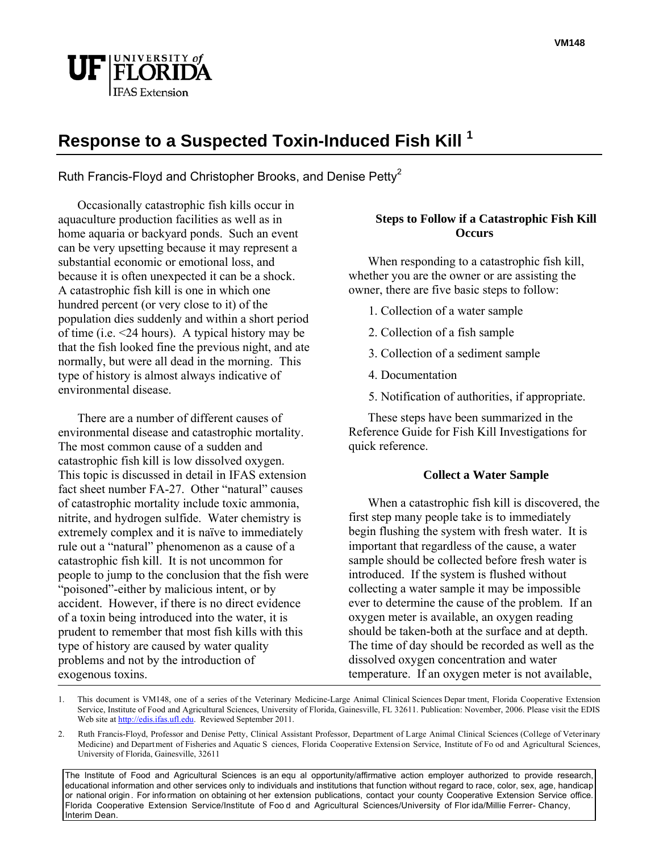

# **Response to a Suspected Toxin-Induced Fish Kill 1**

Ruth Francis-Floyd and Christopher Brooks, and Denise Petty<sup>2</sup>

 Occasionally catastrophic fish kills occur in aquaculture production facilities as well as in home aquaria or backyard ponds. Such an event can be very upsetting because it may represent a substantial economic or emotional loss, and because it is often unexpected it can be a shock. A catastrophic fish kill is one in which one hundred percent (or very close to it) of the population dies suddenly and within a short period of time (i.e. <24 hours). A typical history may be that the fish looked fine the previous night, and ate normally, but were all dead in the morning. This type of history is almost always indicative of environmental disease.

 There are a number of different causes of environmental disease and catastrophic mortality. The most common cause of a sudden and catastrophic fish kill is low dissolved oxygen. This topic is discussed in detail in IFAS extension fact sheet number FA-27. Other "natural" causes of catastrophic mortality include toxic ammonia, nitrite, and hydrogen sulfide. Water chemistry is extremely complex and it is naïve to immediately rule out a "natural" phenomenon as a cause of a catastrophic fish kill. It is not uncommon for people to jump to the conclusion that the fish were "poisoned"-either by malicious intent, or by accident. However, if there is no direct evidence of a toxin being introduced into the water, it is prudent to remember that most fish kills with this type of history are caused by water quality problems and not by the introduction of exogenous toxins.

## **Steps to Follow if a Catastrophic Fish Kill Occurs**

 When responding to a catastrophic fish kill, whether you are the owner or are assisting the owner, there are five basic steps to follow:

- 1. Collection of a water sample
- 2. Collection of a fish sample
- 3. Collection of a sediment sample
- 4. Documentation
- 5. Notification of authorities, if appropriate.

 These steps have been summarized in the Reference Guide for Fish Kill Investigations for quick reference.

## **Collect a Water Sample**

 When a catastrophic fish kill is discovered, the first step many people take is to immediately begin flushing the system with fresh water. It is important that regardless of the cause, a water sample should be collected before fresh water is introduced. If the system is flushed without collecting a water sample it may be impossible ever to determine the cause of the problem. If an oxygen meter is available, an oxygen reading should be taken-both at the surface and at depth. The time of day should be recorded as well as the dissolved oxygen concentration and water temperature. If an oxygen meter is not available,

The Institute of Food and Agricultural Sciences is an equ al opportunity/affirmative action employer authorized to provide research, educational information and other services only to individuals and institutions that function without regard to race, color, sex, age, handicap or national origin . For info rmation on obtaining ot her extension publications, contact your county Cooperative Extension Service office. Florida Cooperative Extension Service/Institute of Foo d and Agricultural Sciences/University of Flor ida/Millie Ferrer- Chancy, Interim Dean.

<sup>1.</sup> This document is VM148, one of a series of the Veterinary Medicine-Large Animal Clinical Sciences Depar tment, Florida Cooperative Extension Service, Institute of Food and Agricultural Sciences, University of Florida, Gainesville, FL 32611. Publication: November, 2006. Please visit the EDIS Web site at http://edis.ifas.ufl.edu. Reviewed September 2011.

<sup>2.</sup> Ruth Francis-Floyd, Professor and Denise Petty, Clinical Assistant Professor, Department of Large Animal Clinical Sciences (College of Veterinary Medicine) and Depart ment of Fisheries and Aquatic S ciences, Florida Cooperative Extension Service, Institute of Fo od and Agricultural Sciences, University of Florida, Gainesville, 32611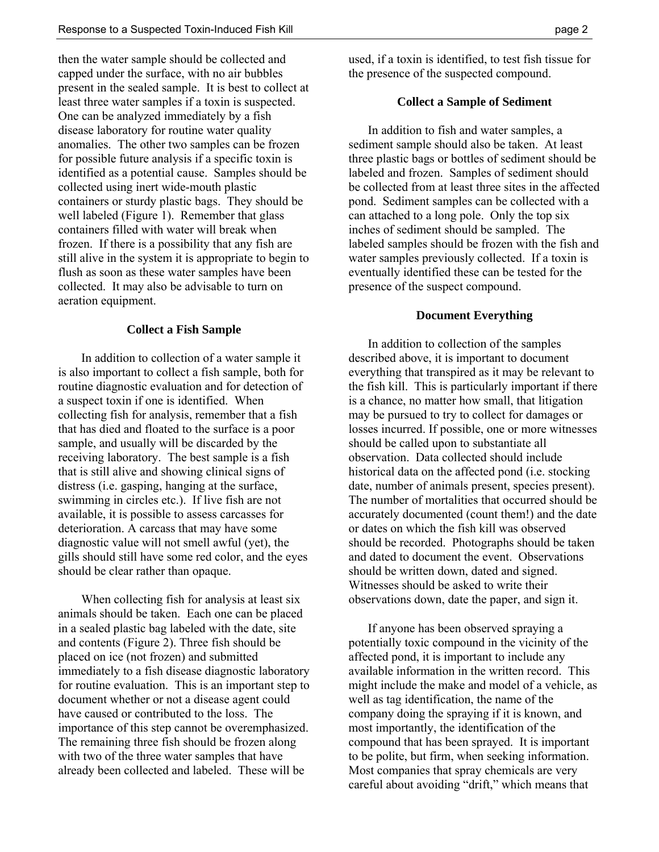then the water sample should be collected and capped under the surface, with no air bubbles present in the sealed sample. It is best to collect at least three water samples if a toxin is suspected. One can be analyzed immediately by a fish disease laboratory for routine water quality anomalies. The other two samples can be frozen for possible future analysis if a specific toxin is identified as a potential cause. Samples should be collected using inert wide-mouth plastic containers or sturdy plastic bags. They should be well labeled (Figure 1). Remember that glass containers filled with water will break when frozen. If there is a possibility that any fish are still alive in the system it is appropriate to begin to flush as soon as these water samples have been collected. It may also be advisable to turn on aeration equipment.

#### **Collect a Fish Sample**

In addition to collection of a water sample it is also important to collect a fish sample, both for routine diagnostic evaluation and for detection of a suspect toxin if one is identified. When collecting fish for analysis, remember that a fish that has died and floated to the surface is a poor sample, and usually will be discarded by the receiving laboratory. The best sample is a fish that is still alive and showing clinical signs of distress (i.e. gasping, hanging at the surface, swimming in circles etc.). If live fish are not available, it is possible to assess carcasses for deterioration. A carcass that may have some diagnostic value will not smell awful (yet), the gills should still have some red color, and the eyes should be clear rather than opaque.

When collecting fish for analysis at least six animals should be taken. Each one can be placed in a sealed plastic bag labeled with the date, site and contents (Figure 2). Three fish should be placed on ice (not frozen) and submitted immediately to a fish disease diagnostic laboratory for routine evaluation. This is an important step to document whether or not a disease agent could have caused or contributed to the loss. The importance of this step cannot be overemphasized. The remaining three fish should be frozen along with two of the three water samples that have already been collected and labeled. These will be

used, if a toxin is identified, to test fish tissue for the presence of the suspected compound.

#### **Collect a Sample of Sediment**

 In addition to fish and water samples, a sediment sample should also be taken. At least three plastic bags or bottles of sediment should be labeled and frozen. Samples of sediment should be collected from at least three sites in the affected pond. Sediment samples can be collected with a can attached to a long pole. Only the top six inches of sediment should be sampled. The labeled samples should be frozen with the fish and water samples previously collected. If a toxin is eventually identified these can be tested for the presence of the suspect compound.

#### **Document Everything**

 In addition to collection of the samples described above, it is important to document everything that transpired as it may be relevant to the fish kill. This is particularly important if there is a chance, no matter how small, that litigation may be pursued to try to collect for damages or losses incurred. If possible, one or more witnesses should be called upon to substantiate all observation. Data collected should include historical data on the affected pond (i.e. stocking date, number of animals present, species present). The number of mortalities that occurred should be accurately documented (count them!) and the date or dates on which the fish kill was observed should be recorded. Photographs should be taken and dated to document the event. Observations should be written down, dated and signed. Witnesses should be asked to write their observations down, date the paper, and sign it.

 If anyone has been observed spraying a potentially toxic compound in the vicinity of the affected pond, it is important to include any available information in the written record. This might include the make and model of a vehicle, as well as tag identification, the name of the company doing the spraying if it is known, and most importantly, the identification of the compound that has been sprayed. It is important to be polite, but firm, when seeking information. Most companies that spray chemicals are very careful about avoiding "drift," which means that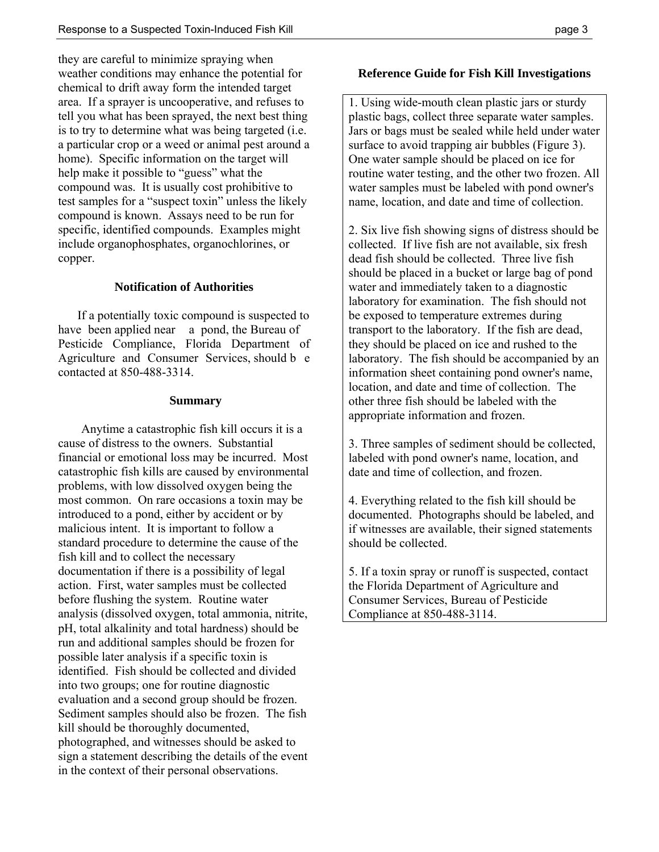they are careful to minimize spraying when weather conditions may enhance the potential for chemical to drift away form the intended target area. If a sprayer is uncooperative, and refuses to tell you what has been sprayed, the next best thing is to try to determine what was being targeted (i.e. a particular crop or a weed or animal pest around a home). Specific information on the target will help make it possible to "guess" what the compound was. It is usually cost prohibitive to test samples for a "suspect toxin" unless the likely compound is known. Assays need to be run for specific, identified compounds. Examples might include organophosphates, organochlorines, or copper.

## **Notification of Authorities**

 If a potentially toxic compound is suspected to have been applied near a pond, the Bureau of Pesticide Compliance, Florida Department of Agriculture and Consumer Services, should b e contacted at 850-488-3314.

### **Summary**

Anytime a catastrophic fish kill occurs it is a cause of distress to the owners. Substantial financial or emotional loss may be incurred. Most catastrophic fish kills are caused by environmental problems, with low dissolved oxygen being the most common. On rare occasions a toxin may be introduced to a pond, either by accident or by malicious intent. It is important to follow a standard procedure to determine the cause of the fish kill and to collect the necessary documentation if there is a possibility of legal action. First, water samples must be collected before flushing the system. Routine water analysis (dissolved oxygen, total ammonia, nitrite, pH, total alkalinity and total hardness) should be run and additional samples should be frozen for possible later analysis if a specific toxin is identified. Fish should be collected and divided into two groups; one for routine diagnostic evaluation and a second group should be frozen. Sediment samples should also be frozen. The fish kill should be thoroughly documented, photographed, and witnesses should be asked to sign a statement describing the details of the event in the context of their personal observations.

## **Reference Guide for Fish Kill Investigations**

1. Using wide-mouth clean plastic jars or sturdy plastic bags, collect three separate water samples. Jars or bags must be sealed while held under water surface to avoid trapping air bubbles (Figure 3). One water sample should be placed on ice for routine water testing, and the other two frozen. All water samples must be labeled with pond owner's name, location, and date and time of collection.

2. Six live fish showing signs of distress should be collected. If live fish are not available, six fresh dead fish should be collected. Three live fish should be placed in a bucket or large bag of pond water and immediately taken to a diagnostic laboratory for examination. The fish should not be exposed to temperature extremes during transport to the laboratory. If the fish are dead, they should be placed on ice and rushed to the laboratory. The fish should be accompanied by an information sheet containing pond owner's name, location, and date and time of collection. The other three fish should be labeled with the appropriate information and frozen.

3. Three samples of sediment should be collected, labeled with pond owner's name, location, and date and time of collection, and frozen.

4. Everything related to the fish kill should be documented. Photographs should be labeled, and if witnesses are available, their signed statements should be collected.

5. If a toxin spray or runoff is suspected, contact the Florida Department of Agriculture and Consumer Services, Bureau of Pesticide Compliance at 850-488-3114.